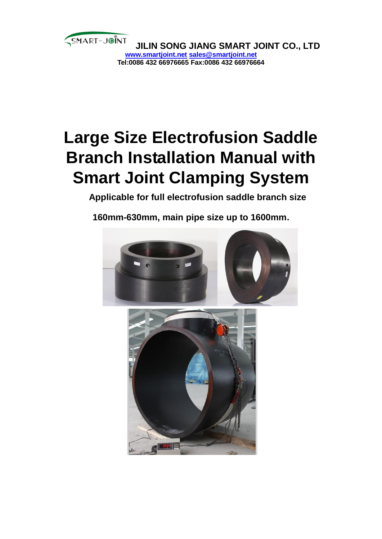

# **Large Size Electrofusion Saddle Branch Installation Manual with Smart Joint Clamping System**

**Applicable for full electrofusion saddle branch size** 

**160mm-630mm, main pipe size up to 1600mm.**

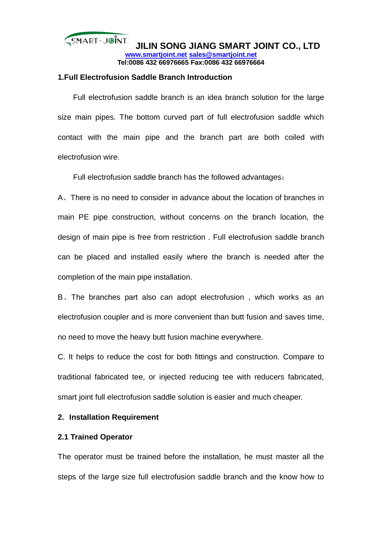#### **1.Full Electrofusion Saddle Branch Introduction**

Full electrofusion saddle branch is an idea branch solution for the large size main pipes. The bottom curved part of full electrofusion saddle which contact with the main pipe and the branch part are both coiled with electrofusion wire.

Full electrofusion saddle branch has the followed advantages:

A、There is no need to consider in advance about the location of branches in main PE pipe construction, without concerns on the branch location, the design of main pipe is free from restriction . Full electrofusion saddle branch can be placed and installed easily where the branch is needed after the completion of the main pipe installation.

B、The branches part also can adopt electrofusion , which works as an electrofusion coupler and is more convenient than butt fusion and saves time, no need to move the heavy butt fusion machine everywhere.

C. It helps to reduce the cost for both fittings and construction. Compare to traditional fabricated tee, or injected reducing tee with reducers fabricated, smart joint full electrofusion saddle solution is easier and much cheaper.

### **2. Installation Requirement**

#### **2.1 Trained Operator**

The operator must be trained before the installation, he must master all the steps of the large size full electrofusion saddle branch and the know how to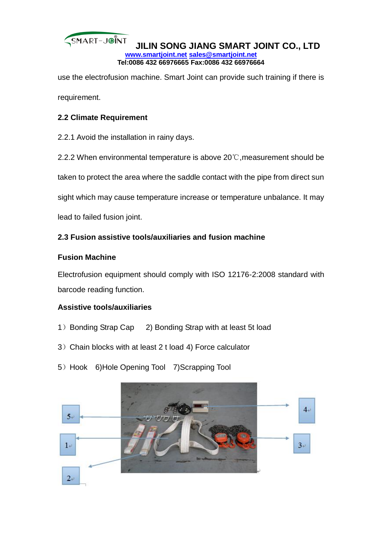

use the electrofusion machine. Smart Joint can provide such training if there is requirement.

# **2.2 Climate Requirement**

2.2.1 Avoid the installation in rainy days.

2.2.2 When environmental temperature is above 20℃,measurement should be

taken to protect the area where the saddle contact with the pipe from direct sun

sight which may cause temperature increase or temperature unbalance. It may

lead to failed fusion joint.

# **2.3 Fusion assistive tools/auxiliaries and fusion machine**

## **Fusion Machine**

Electrofusion equipment should comply with ISO 12176-2:2008 standard with barcode reading function.

## **Assistive tools/auxiliaries**

- 1) Bonding Strap Cap 2) Bonding Strap with at least 5t load
- 3)Chain blocks with at least 2 t load 4) Force calculator
- 5) Hook 6)Hole Opening Tool 7)Scrapping Tool

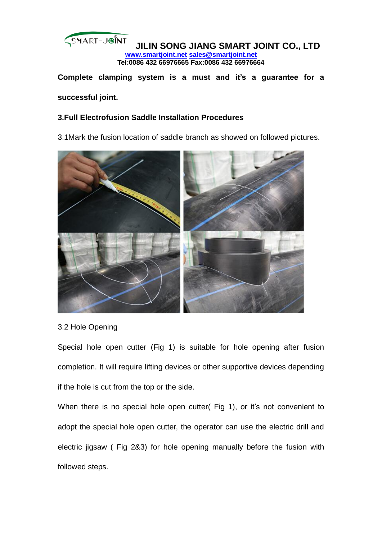

**Complete clamping system is a must and it's a guarantee for a successful joint.** 

## **3.Full Electrofusion Saddle Installation Procedures**

3.1Mark the fusion location of saddle branch as showed on followed pictures.



## 3.2 Hole Opening

Special hole open cutter (Fig 1) is suitable for hole opening after fusion completion. It will require lifting devices or other supportive devices depending if the hole is cut from the top or the side.

When there is no special hole open cutter( Fig 1), or it's not convenient to adopt the special hole open cutter, the operator can use the electric drill and electric jigsaw ( Fig 2&3) for hole opening manually before the fusion with followed steps.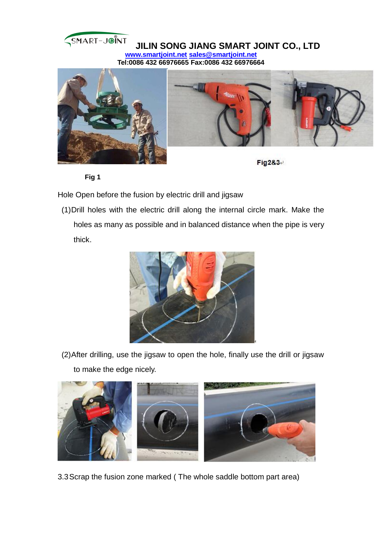





**Fig2&3**

**Fig 1**

Hole Open before the fusion by electric drill and jigsaw

(1)Drill holes with the electric drill along the internal circle mark. Make the holes as many as possible and in balanced distance when the pipe is very thick.



(2)After drilling, use the jigsaw to open the hole, finally use the drill or jigsaw to make the edge nicely.



3.3Scrap the fusion zone marked ( The whole saddle bottom part area)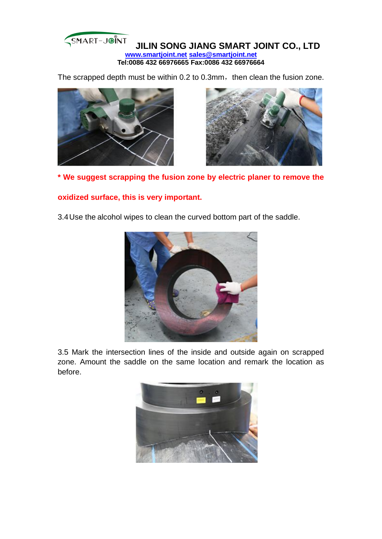The scrapped depth must be within 0.2 to 0.3mm, then clean the fusion zone.





**\* We suggest scrapping the fusion zone by electric planer to remove the** 

## **oxidized surface, this is very important.**

3.4Use the alcohol wipes to clean the curved bottom part of the saddle.



3.5 Mark the intersection lines of the inside and outside again on scrapped zone. Amount the saddle on the same location and remark the location as before.

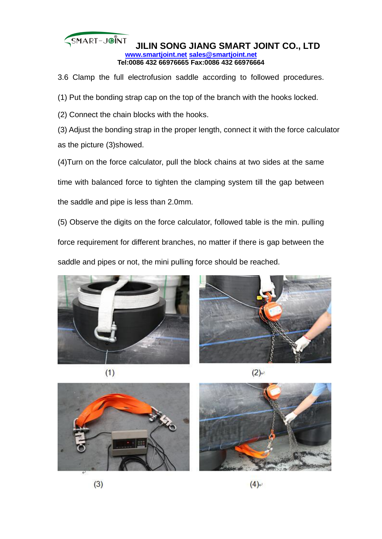3.6 Clamp the full electrofusion saddle according to followed procedures.

(1) Put the bonding strap cap on the top of the branch with the hooks locked.

(2) Connect the chain blocks with the hooks.

(3) Adjust the bonding strap in the proper length, connect it with the force calculator as the picture (3)showed.

(4)Turn on the force calculator, pull the block chains at two sides at the same time with balanced force to tighten the clamping system till the gap between

the saddle and pipe is less than 2.0mm.

(5) Observe the digits on the force calculator, followed table is the min. pulling

force requirement for different branches, no matter if there is gap between the

saddle and pipes or not, the mini pulling force should be reached.





 $(1)$ 

 $(2)$ <sup>+</sup>



 $(3)$ 

 $(4)$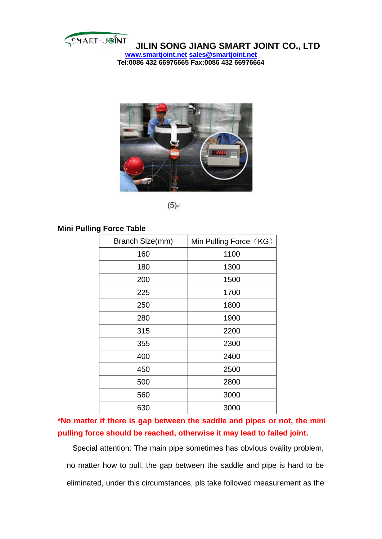

**JILIN SONG JIANG SMART JOINT CO., LTD www.smartjoint.net sales@smartjoint.net**

**Tel:0086 432 66976665 Fax:0086 432 66976664**



 $(5)$ <sup>+</sup>

## **Mini Pulling Force Table**

| Branch Size(mm) | Min Pulling Force (KG) |
|-----------------|------------------------|
| 160             | 1100                   |
| 180             | 1300                   |
| 200             | 1500                   |
| 225             | 1700                   |
| 250             | 1800                   |
| 280             | 1900                   |
| 315             | 2200                   |
| 355             | 2300                   |
| 400             | 2400                   |
| 450             | 2500                   |
| 500             | 2800                   |
| 560             | 3000                   |
| 630             | 3000                   |

**\*No matter if there is gap between the saddle and pipes or not, the mini pulling force should be reached, otherwise it may lead to failed joint.**

Special attention: The main pipe sometimes has obvious ovality problem, no matter how to pull, the gap between the saddle and pipe is hard to be eliminated, under this circumstances, pls take followed measurement as the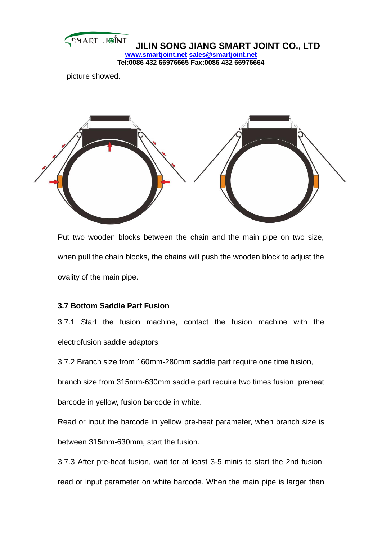

picture showed.



Put two wooden blocks between the chain and the main pipe on two size, when pull the chain blocks, the chains will push the wooden block to adjust the ovality of the main pipe.

## **3.7 Bottom Saddle Part Fusion**

3.7.1 Start the fusion machine, contact the fusion machine with the electrofusion saddle adaptors.

3.7.2 Branch size from 160mm-280mm saddle part require one time fusion,

branch size from 315mm-630mm saddle part require two times fusion, preheat

barcode in yellow, fusion barcode in white.

Read or input the barcode in yellow pre-heat parameter, when branch size is between 315mm-630mm, start the fusion.

3.7.3 After pre-heat fusion, wait for at least 3-5 minis to start the 2nd fusion, read or input parameter on white barcode. When the main pipe is larger than